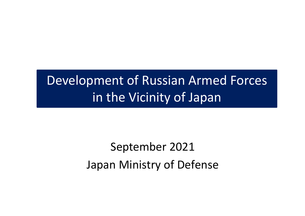## Development of Russian Armed Forces in the Vicinity of Japan

# September 2021 Japan Ministry of Defense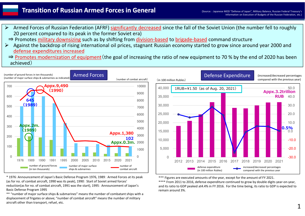### **Transition of Russian Armed Forces in General**

- Armed Forces of Russian Federation (AFRF) significantly decreased since the fall of the Soviet Union (the number fell to roughly 20 percent compared to its peak in the former Soviet era)
- ⇒ Promotes military downsizing such as by shifting from division-based to brigade-based command structure
- Against the backdrop of rising international oil prices, stagnant Russian economy started to grow since around year 2000 and  $\blacktriangleright$ defense expenditures increased
- ⇒ Promotes modernization of equipment (the goal of increasing the ratio of new equipment to 70 % by the end of 2020 has been achieved)



\* 1976:Announcement of Japan's Basic Defense Program 1976, 1989: Armed Forces at its peak (as for no. of combat aircraft, 1990 was its peak), 1990: Start of Soviet armed forces' reduction(as for no. of combat aircraft, 1991 was the start), 1995: Announcement of Japan's Basic Defense Program 1995

\*\* "number of major surface ships & submarines" means the number of combatant ships with a displacement of frigates or above; "number of combat aircraft" means the number of military aircraft other than transport, refuel, etc.



\*\*\* Figures are executed amounts of the year, except for the amount of FY 2021. \*\*\*\* From 2011 to 2016, defense expenditure continued to grow by double digits year-on-year, and its ratio to GDP peaked at4.4% in FY 2016. For the time being, its ratio to GDP is expected to remain around 3%.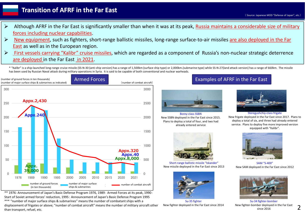## **Transition of AFRF in the Far East**

- ( Source: Japanese MOD "Defense of Japan", etc.)
- Although AFRF in the Far East is significantly smaller than when it was at its peak, Russia maintains a considerable size of military  $\blacktriangleright$ forces including nuclear capabilities.
- $\blacktriangleright$ New equipment, such as fighters, short-range ballistic missiles, long-range surface-to-air missiles are also deployed in the Far East as well as in the European region.
- First vessels carrying "Kalibr" cruise missiles, which are regarded as a component of Russia's non-nuclear strategic deterrence  $\blacktriangleright$ are deployed in the Far East in 2021.
	- \* "Kalibr" is a ship-launched long-range cruise missile (SS-N-30 (anti-ship version) has a range of 1,500km (surface ship type) or 2,000km.(submarine type) while SS-N-27(land attack version) has a range of 660km. The missile has been used by Russian Naval attack during military operations in Syria. It is said to be capable of both conventional and nuclear warheads.



\*\* 1976:Announcement of Japan's Basic Defense Program 1976, 1989: Armed Forces at its peak, 1990: Start of Soviet armed forces' reduction, 1995: Announcement of Japan's Basic Defense Program 1995 \*\*\* "number of major surface ships & submarines" means the number of combatant ships with a displacement of frigates or above; "number of combat aircraft" means the number of military aircraft other than transport, refuel, etc.

### Examples of AFRF in the Far East



Borey-class SSBN New SSBN deployed in the Far East since 2015. Plans to deploy a total of four, and two had already entered service



Short-range ballistic missile "Iskander" New missile deployed in the Far East since 2013



Su-35 fighter New fighter deployed in the Far East since 2014



Steregushchiy-class frigate New frigate deployed in the Far East since 2017. Plans to deploy a total of six, and three had already entered service. Plans to deploy five more improved version equipped with "Kalibr".



SAM "S-400" New SAM deployed in the Far East since 2012



Su-34 fighter-bomber New fighter-bomber deployed in the Far East since 2016

2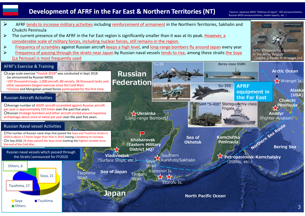

## **Development of AFRF in the Far East & Northern Territories (NT) (Source: Japanese MOD "Defense of Japan", JSO announcements,**

Russian MOD announcements, media reports, etc. )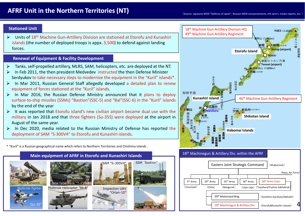#### **Stationed Unit**

Units of 18<sup>th</sup> Machine Gun-Artillery Division are stationed at Etorofu and Kunashiri islands (the number of deployed troops is appx. 3,500) to defend against landing forces.

#### **Renewal of Equipment & Facility Development**

- Tanks, self-propelled artillery, MLRS, SAM, helicopters, etc. are deployed at the NT.
- In Feb 2011, the then president Medvedev instructed the then Defense Minister Serdyukov to take necessary steps to modernize the equipment in the "Kuril" islands\*.
- In Mar 2011, Russian General Staff allegedly developed a detailed plan to renew equipment of forces stationed at the "Kuril" islands.
- In Mar 2016, the Russian Defense Ministry announced that it plans to deploy surface-to-ship missiles (SSMs) "Bastion"(SSC-5) and "Bal"(SSC-6) in the "Kuril" islands by the end of the year
- $\triangleright$  It was reported that Etorofu island's new civilian airport became dual use with the military in Jan 2018 and that three fighters (Su-35S) were deployed at the airport in August of the same year.
- $\triangleright$  In Dec 2020, media related to the Russian Ministry of Defense has reported the deployment of SAM "S-300V4" to Etorofu and Kunashiri islands.